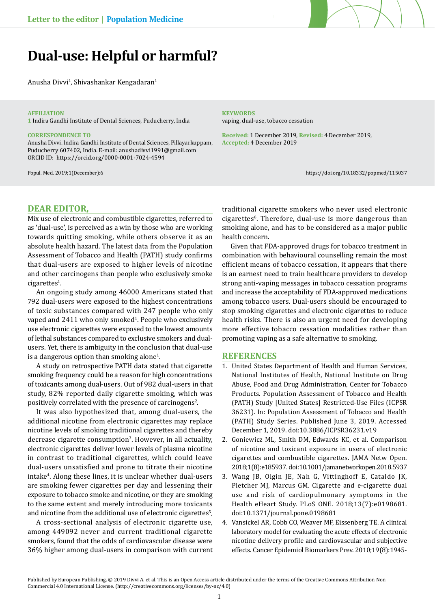

Anusha Divvi $^{\rm 1}$ , Shivashankar Kengadaran $^{\rm 1}$ 

### **AFFILIATION**

**1** Indira Gandhi Institute of Dental Sciences, Puducherry, India

#### **CORRESPONDENCE TO**

Anusha Divvi. Indira Gandhi Institute of Dental Sciences, Pillayarkuppam, Puducherry 607402, India. E-mail: anushadivvi1991@gmail.com ORCID ID: https://orcid.org/0000-0001-7024-4594

**KEYWORDS** vaping, dual-use, tobacco cessation

**Received:** 1 December 2019, **Revised:** 4 December 2019, **Accepted:** 4 December 2019

Popul. Med. 2019;1(December):6 https://doi.org/10.18332/popmed/115037

# **DEAR EDITOR,**

Mix use of electronic and combustible cigarettes, referred to as 'dual-use', is perceived as a win by those who are working towards quitting smoking, while others observe it as an absolute health hazard. The latest data from the Population Assessment of Tobacco and Health (PATH) study confirms that dual-users are exposed to higher levels of nicotine and other carcinogens than people who exclusively smoke cigarettes<sup>1</sup>.

An ongoing study among 46000 Americans stated that 792 dual-users were exposed to the highest concentrations of toxic substances compared with 247 people who only vaped and 2411 who only smoked<sup>1</sup>. People who exclusively use electronic cigarettes were exposed to the lowest amounts of lethal substances compared to exclusive smokers and dualusers. Yet, there is ambiguity in the conclusion that dual-use is a dangerous option than smoking alone<sup>1</sup>.

A study on retrospective PATH data stated that cigarette smoking frequency could be a reason for high concentrations of toxicants among dual-users. Out of 982 dual-users in that study, 82% reported daily cigarette smoking, which was positively correlated with the presence of carcinogens<sup>2</sup>.

It was also hypothesized that, among dual-users, the additional nicotine from electronic cigarettes may replace nicotine levels of smoking traditional cigarettes and thereby decrease cigarette consumption3 . However, in all actuality, electronic cigarettes deliver lower levels of plasma nicotine in contrast to traditional cigarettes, which could leave dual-users unsatisfied and prone to titrate their nicotine intake4 . Along these lines, it is unclear whether dual-users are smoking fewer cigarettes per day and lessening their exposure to tobacco smoke and nicotine, or they are smoking to the same extent and merely introducing more toxicants and nicotine from the additional use of electronic cigarettes $^5$ .

A cross-sectional analysis of electronic cigarette use, among 449092 never and current traditional cigarette smokers, found that the odds of cardiovascular disease were 36% higher among dual-users in comparison with current traditional cigarette smokers who never used electronic cigarettes<sup>6</sup>. Therefore, dual-use is more dangerous than smoking alone, and has to be considered as a major public health concern.

Given that FDA-approved drugs for tobacco treatment in combination with behavioural counselling remain the most efficient means of tobacco cessation, it appears that there is an earnest need to train healthcare providers to develop strong anti-vaping messages in tobacco cessation programs and increase the acceptability of FDA-approved medications among tobacco users. Dual-users should be encouraged to stop smoking cigarettes and electronic cigarettes to reduce health risks. There is also an urgent need for developing more effective tobacco cessation modalities rather than promoting vaping as a safe alternative to smoking.

## **REFERENCES**

- 1. United States Department of Health and Human Services, National Institutes of Health, National Institute on Drug Abuse, Food and Drug Administration, Center for Tobacco Products. Population Assessment of Tobacco and Health (PATH) Study [United States] Restricted-Use Files (ICPSR 36231). In: Population Assessment of Tobacco and Health (PATH) Study Series. Published June 3, 2019. Accessed December 1, 2019. doi:10.3886/ICPSR36231.v19
- 2. Goniewicz ML, Smith DM, Edwards KC, et al. Comparison of nicotine and toxicant exposure in users of electronic cigarettes and combustible cigarettes. JAMA Netw Open. 2018;1(8):e185937. doi:10.1001/jamanetworkopen.2018.5937
- 3. Wang JB, Olgin JE, Nah G, Vittinghoff E, Cataldo JK, Pletcher MJ, Marcus GM. Cigarette and e-cigarette dual use and risk of cardiopulmonary symptoms in the Health eHeart Study. PLoS ONE. 2018;13(7):e0198681. doi:10.1371/journal.pone.0198681
- 4. Vansickel AR, Cobb CO, Weaver MF, Eissenberg TE. A clinical laboratory model for evaluating the acute effects of electronic nicotine delivery profile and cardiovascular and subjective effects. Cancer Epidemiol Biomarkers Prev. 2010;19(8):1945-